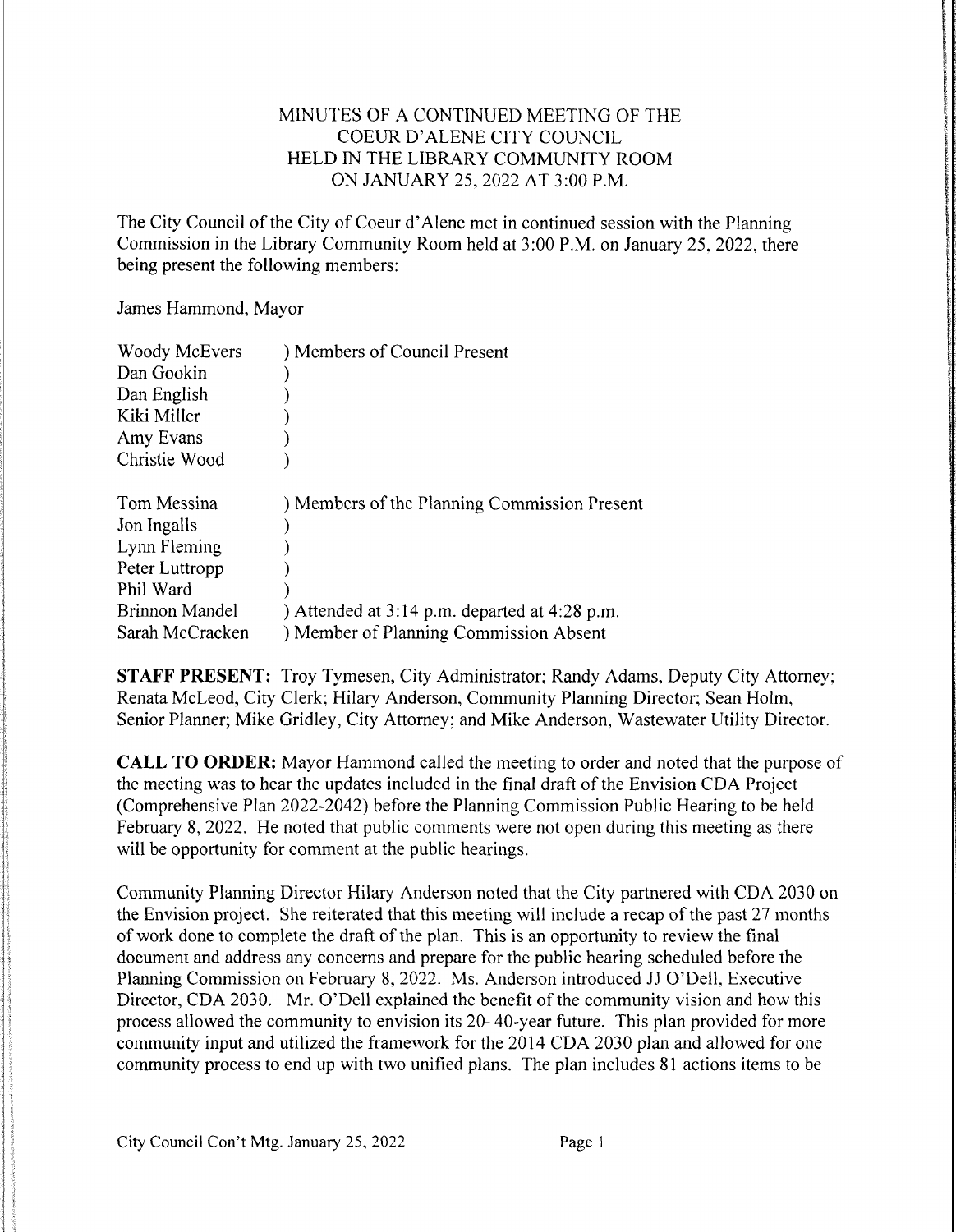## MINUTES OF A CONTINUED MEETING OF THE COEUR D'ALENE CITY COUNCIL HELD IN THE LIBRARY COMMUNITY ROOM ON JANUARY 25,2022AT 3:00P.M.

The City Council of the City of Coeur d'Alene met in continued session with the Planning Commission in the Library Community Room held at 3:00 P.M. on January 25, 2022, there being present the following members:

James Hammond, Mayor

| Woody McEvers         | ) Members of Council Present                      |
|-----------------------|---------------------------------------------------|
| Dan Gookin            |                                                   |
| Dan English           |                                                   |
| Kiki Miller           |                                                   |
| Amy Evans             |                                                   |
| Christie Wood         |                                                   |
|                       |                                                   |
| Tom Messina           | ) Members of the Planning Commission Present      |
|                       |                                                   |
| Jon Ingalls           |                                                   |
| Lynn Fleming          |                                                   |
| Peter Luttropp        |                                                   |
| Phil Ward             |                                                   |
| <b>Brinnon Mandel</b> | ) Attended at $3:14$ p.m. departed at $4:28$ p.m. |

STAFF PRESENT: Troy Tymesen, City Administrator; Randy Adams, Deputy City Attorney; Renata McLeod, City Clerk; Hilary Anderson, Community Planning Director; Sean Holm, Senior Planner; Mike Gridley, City Attorney; and Mike Anderson, Wastewater Utility Director.

CALL TO ORDER: Mayor Hammond called the meeting to order and noted that the purpose of the meeting was to hear the updates included in the final draft of the Envision CDA Project (Comprehensive Plan 2022-2042) before the Planning Commission Public Hearing to be held February 8, 2022. He noted that public comments were not open during this meeting as there will be opportunity for comment at the public hearings.

Community Planning Director Hilary Anderson noted that the City partnered with CDA 2030 on the Envision project. She reiterated that this meeting will include a recap of the past 27 months of work done to complete the draft of the plan. This is an opportunity to review the final document and address any concerns and prepare for the public hearing scheduled before the Planning Commission on February 8, 2022. Ms. Anderson introduced JJ O'Dell, Executive Director, CDA 2030. Mr. O'Dell explained the benefit of the community vision and how this process allowed the community to envision its 20–40-year future. This plan provided for more community input and utilized the framework for the 2014 CDA 2030 plan and allowed for one community process to end up with two unified plans. The plan includes 81 actions items to be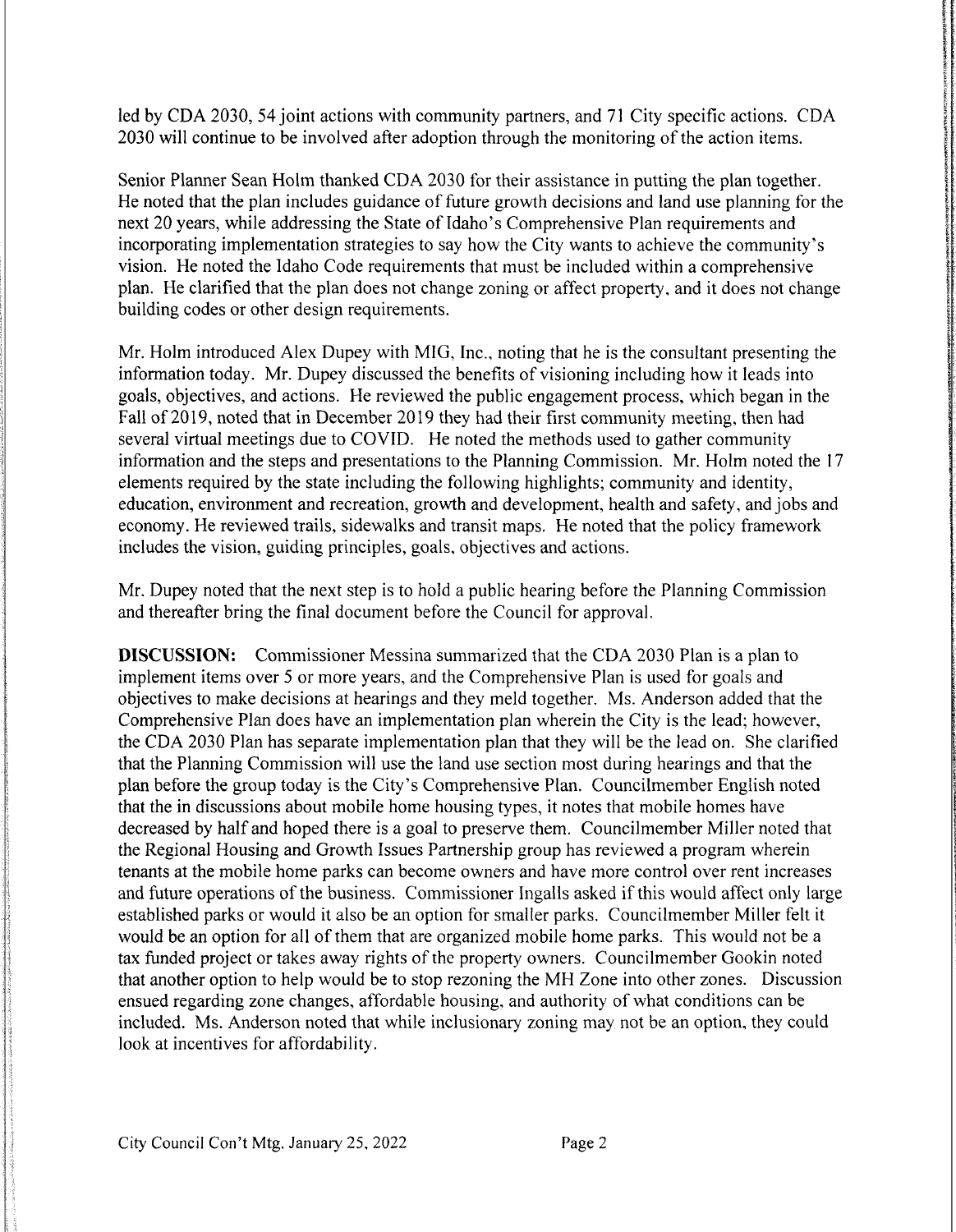led by CDA 2030, 54 joint actions with community partners, and 71 City specific actions. CDA 2030 will continue to be involved after adoption through the monitoring of the action items.

Senior Planner Sean Holm thanked CDA 2030 for their assistance in putting the plan together. He noted that the plan includes guidance of future growth decisions and land use planning for the next 20 years, while addressing the State of Idaho's Comprehensive Plan requirements and incorporating implementation strategies to say how the City wants to achieve the community's vision. He noted the Idaho Code requirements that must be included within a comprehensive plan. He clarified that the plan does not change zoning or affect property, and it does not change building codes or other design requirements.

Mr. Holm introduced Alex Dupey with MIG, Inc., noting that he is the consultant presenting the information today. Mr. Dupey discussed the benefits of visioning including how it leads into goals, objectives, and actions. He reviewed the public engagement process, which began in the Fall of 2019, noted that in December 2019 they had their first community meeting, then had several virtual meetings due to COVID. He noted the methods used to gather community information and the steps and presentations to the Planning Commission. Mr. Holm noted the 17 elements required by the state including the following highlights; community and identity, education, environment and recreation, growth and development, health and safety, and jobs and economy. He reviewed trails, sidewalks and transit maps. He noted that the policy framework includes the vision, guiding principles, goals, objectives and actions.

Mr. Dupey noted that the next step is to hold a public hearing before the Planning Commission and thereafter bring the final document before the Council for approval.

**DISCUSSION:** Commissioner Messina summarized that the CDA 2030 Plan is a plan to implement items over 5 or more years, and the Comprehensive Plan is used for goals and objectives to make decisions at hearings and they meld together. Ms. Anderson added that the Comprehensive Plan does have an implementation plan wherein the City is the lead; however, the CDA 2030 Plan has separate implementation plan that they will be the lead on. She clarified that the Planning Commission will use the land use section most during hearings and that the plan before the group today is the City's Comprehensive Plan. Councilmember English noted that the in discussions about mobile home housing types, it notes that mobile homes have decreased by half and hoped there is a goal to preserve them. Councilmember Miller noted that the Regional Housing and Growth Issues Partnership group has reviewed a program wherein tenants at the mobile home parks can become owners and have more control over rent increases and future operations of the business. Commissioner Ingalls asked if this would affect only large established parks or would it also be an option for smaller parks. Councilmember Miller felt it would be an option for all of them that are organized mobile home parks. This would not be a tax funded project or takes away rights of the property owners. Councilmember Gookin noted that another option to help would be to stop rezoning the MH Zone into other zones. Discussion ensued regarding zone changes, affordable housing, and authority of what conditions can be included. Ms. Anderson noted that while inclusionary zoning may not be an option, they could look at incentives for affordability.

M.w.wm..mm.mmmmv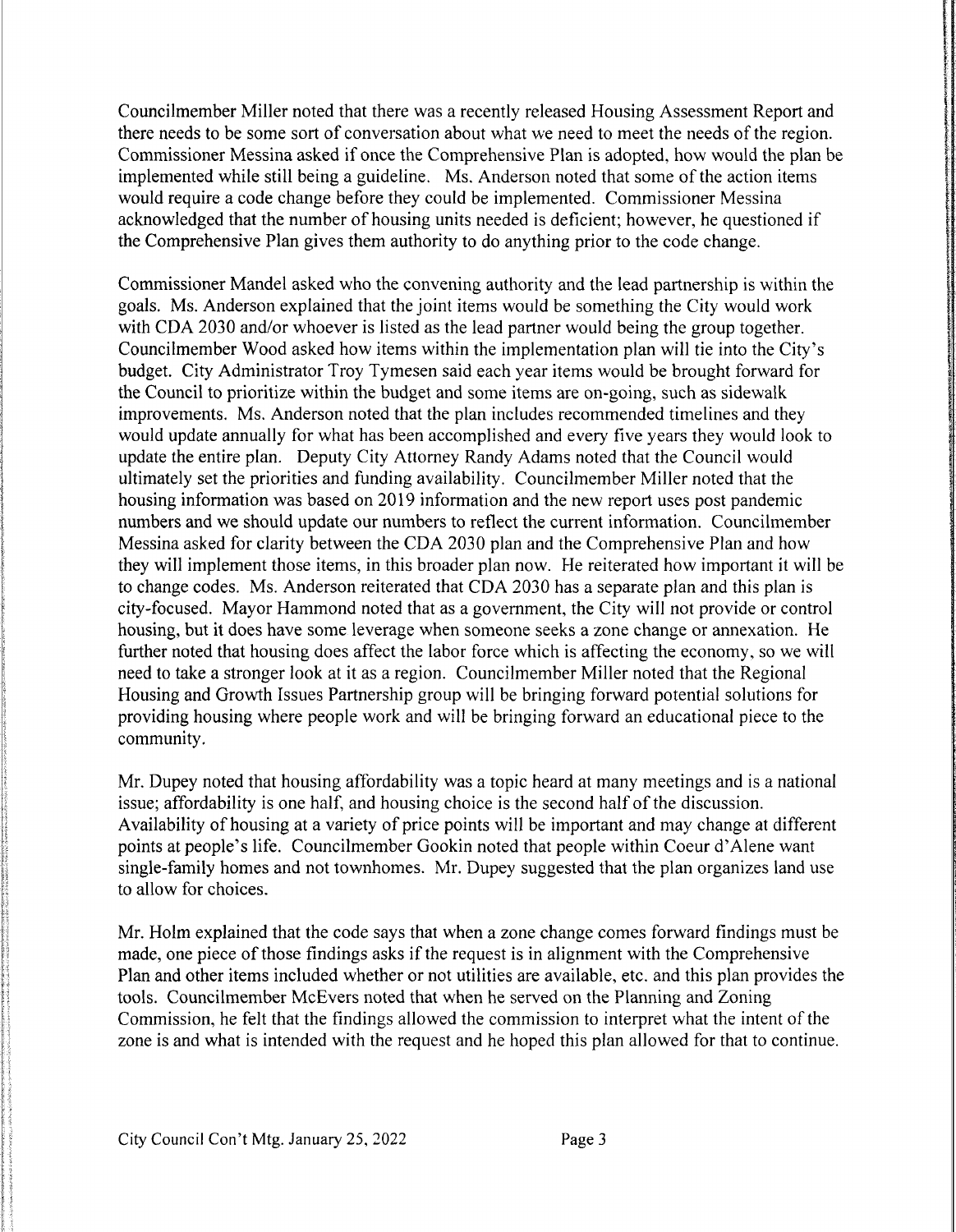Councilmember Miller noted that there was a recently released Housing Assessment Report and there needs to be some sort of conversation about what we need to meet the needs of the region. Commissioner Messina asked if once the Comprehensive Plan is adopted, how would the plan be implemented while still being a guideline. Ms. Anderson noted that some of the action items would require a code change before they could be implemented. Commissioner Messina acknowledged that the number of housing units needed is deficient; however, he questioned if the Comprehensive Plan gives them authority to do anything prior to the code change.

Commissioner Mandel asked who the convening authority and the lead partnership is within the goals. Ms. Anderson explained that the joint items would be something the City would work with CDA 2030 and/or whoever is listed as the lead partner would being the group together. Councilmember Wood asked how items within the implementation plan will tie into the City's budget. City Administrator Troy Tymesen said each year items would be brought forward for the Council to prioritize within the budget and some items are on-going, such as sidewalk improvements. Ms. Anderson noted that the plan includes recommended timelines and they would update annually for what has been accomplished and every five years they would look to update the entire plan. Deputy City Attorney Randy Adams noted that the Council would ultimately set the priorities and funding availability. Councilmember Miller noted that the housing information was based on 2019 information and the new report uses post pandemic numbers and we should update our numbers to reflect the current information. Councilmember Messina asked for clarity between the CDA 2030 plan and the Comprehensive Plan and how they will implement those items, in this broader plan now. He reiterated how important it will be to change codes. Ms. Anderson reiterated that CDA 2030 has a separate plan and this plan is city-focused. Mayor Hammond noted that as a government, the City will not provide or control housing, but it does have some leverage when someone seeks a zone change or annexation. He further noted that housing does affect the labor force which is affecting the economy, so we will need to take a stronger look at it as a region. Councilmember Miller noted that the Regional Housing and Growth Issues Partnership group will be bringing forward potential solutions for providing housing where people work and will be bringing forward an educational piece to the community.

Mr. Dupey noted that housing affordability was a topic heard at many meetings and is a national issue; affordability is one half, and housing choice is the second half of the discussion. Availability of housing at a variety of price points will be important and may change at different points at people's life. Councilmember Gookin noted that people within Coeur d'Alene want single-family homes and not townhomes. Mr. Dupey suggested that the plan organizes land use to allow for choices.

Mr. Holm explained that the code says that when a zone change comes forward findings must be made, one piece of those findings asks if the request is in alignment with the Comprehensive Plan and other items included whether or not utilities are available, etc. and this plan provides the tools. Councilmember McEvers noted that when he served on the Planning and Zoning Commission, he felt that the findings allowed the commission to interpret what the intent of the zone is and what is intended with the request and he hoped this plan allowed for that to continue.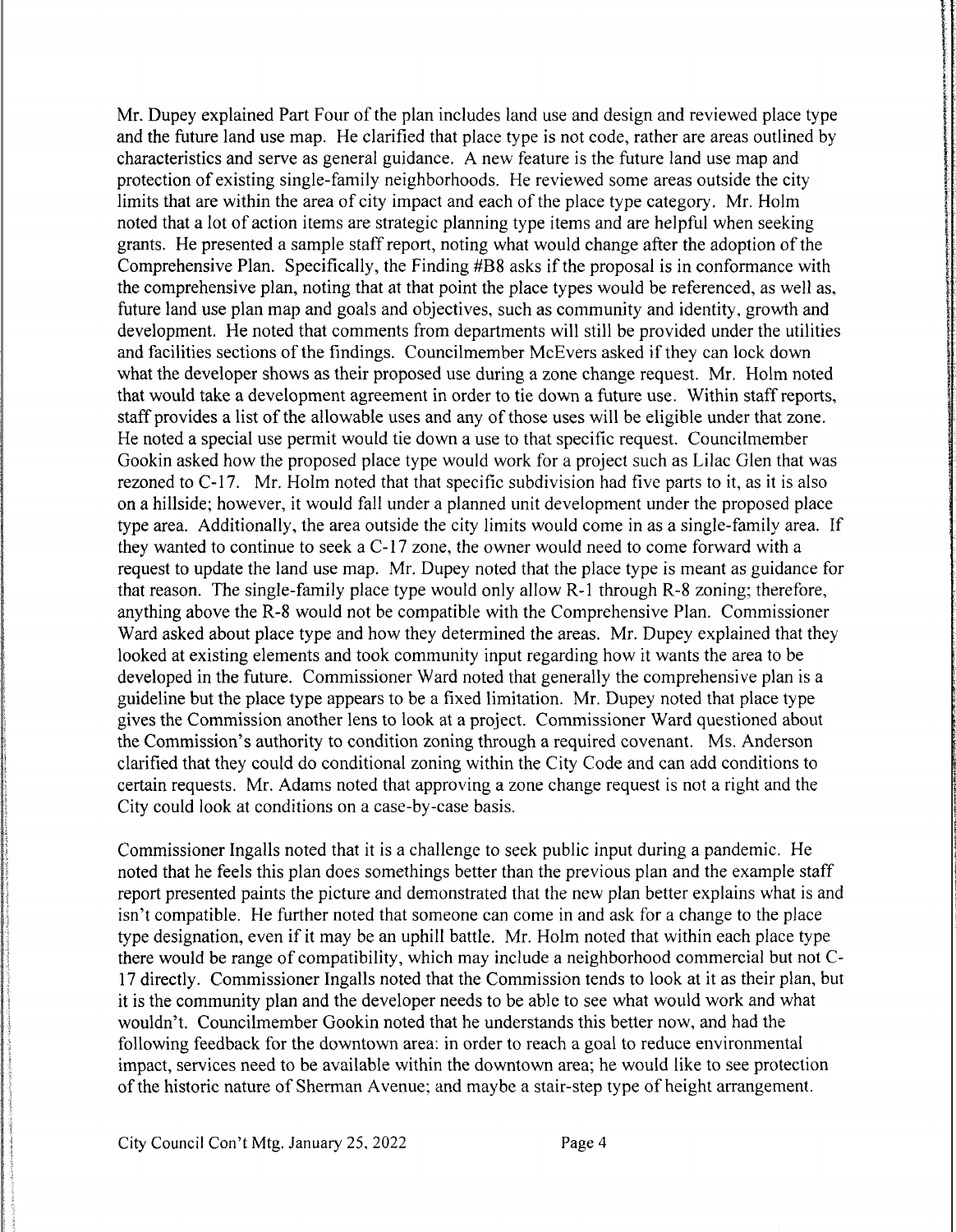Mr. Dupey explained Part Four of the plan includes land use and design and reviewed place type and the future land use map. He clarified that place type is not code, rather are areas outlined by characteristics and serve as general guidance. A new feature is the future land use map and protection of existing single-family neighborhoods. He reviewed some areas outside the city limits that are within the area of city impact and each of the place type category. Mr. Holm noted that a lot of action items are strategic planning type items and are helpful when seeking grants. He presented a sample staff report, noting what would change after the adoption of the Comprehensive Plan. Specifically, the Finding #B8 asks if the proposal is in conformance with the comprehensive plan, noting that at that point the place types would be referenced, as well as, future land use plan map and goals and objectives, such as community and identity, growth and development. He noted that comments from departments will still be provided under the utilities and facilities sections of the findings. Councilmember McEvers asked if they can lock down what the developer shows as their proposed use during a zone change request. Mr. Holm noted that would take a development agreement in order to tie down a future use. Within staff reports, staff provides a list of the allowable uses and any of those uses will be eligible under that zone. He noted a special use permit would tie down a use to that specific request. Councilmember Gookin asked how the proposed place type would work for a project such as Lilac Glen that was rezoned to  $C-17$ . Mr. Holm noted that that specific subdivision had five parts to it, as it is also on a hillside; however, it would fall under a planned unit development under the proposed place type area. Additionally, the area outside the city limits would come in as a single-family area. If they wanted to continue to seek a C-17 zone, the owner would need to come forward with a request to update the land use map. Mr. Dupey noted that the place type is meant as guidance for that reason. The single-family place type would only allow R-1 through R-8 zoning; therefore, anything above the R-8 would not be compatible with the Comprehensive Plan. Commissioner Ward asked about place type and how they determined the areas. Mr. Dupey explained that they looked at existing elements and took community input regarding how it wants the area to be developed in the future. Commissioner Ward noted that generally the comprehensive plan is a guideline but the place type appears to be a fixed limitation. Mr. Dupey noted that place type gives the Commission another lens to look at a project. Commissioner Ward questioned about the Commission's authority to condition zoning through a required covenant. Ms. Anderson clarified that they could do conditional zoning within the City Code and can add conditions to certain requests. Mr. Adams noted that approving a zone change request is not a right and the City could look at conditions on a case-by-case basis.

Commissioner Ingalls noted that it is a challenge to seek public input during a pandemic. He noted that he feels this plan does somethings better than the previous plan and the example staff report presented paints the picture and demonstrated that the new plan better explains what is and isn't compatible. He further noted that someone can come in and ask for a change to the place type designation, even if it may be an uphill battle. Mr. Holm noted that within each place type there would be range of compatibility, which may include a neighborhood commercial but not C-17 directly. Commissioner Ingalls noted that the Commission tends to look at it as their plan, but it is the community plan and the developer needs to be able to see what would work and what wouldn't. Councilmember Gookin noted that he understands this better now, and had the following feedback for the downtown area: in order to reach a goal to reduce environmental impact, services need to be available within the downtown area; he would like to see protection of the historic nature of Sherman Avenue; and maybe a stair-step type of height arrangement.